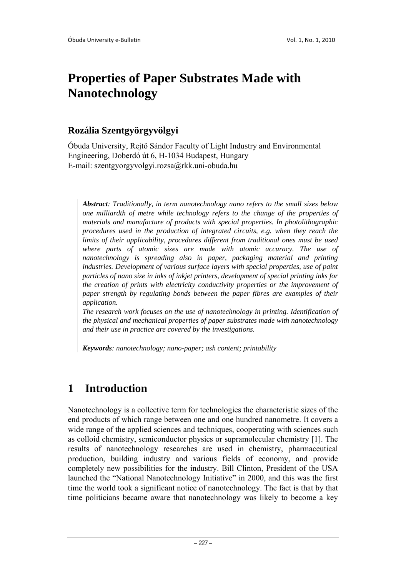# **Properties of Paper Substrates Made with Nanotechnology**

#### **Rozália Szentgyörgyvölgyi**

Óbuda University, Rejtő Sándor Faculty of Light Industry and Environmental Engineering, Doberdó út 6, H-1034 Budapest, Hungary E-mail: szentgyorgyvolgyi.rozsa@rkk.uni-obuda.hu

*Abstract: Traditionally, in term nanotechnology nano refers to the small sizes below one milliardth of metre while technology refers to the change of the properties of materials and manufacture of products with special properties. In photolithographic procedures used in the production of integrated circuits, e.g. when they reach the limits of their applicability, procedures different from traditional ones must be used where parts of atomic sizes are made with atomic accuracy. The use of nanotechnology is spreading also in paper, packaging material and printing industries. Development of various surface layers with special properties, use of paint particles of nano size in inks of inkjet printers, development of special printing inks for the creation of prints with electricity conductivity properties or the improvement of paper strength by regulating bonds between the paper fibres are examples of their application.* 

*The research work focuses on the use of nanotechnology in printing. Identification of the physical and mechanical properties of paper substrates made with nanotechnology and their use in practice are covered by the investigations.* 

*Keywords: nanotechnology; nano-paper; ash content; printability* 

## **1 Introduction**

Nanotechnology is a collective term for technologies the characteristic sizes of the end products of which range between one and one hundred nanometre. It covers a wide range of the applied sciences and techniques, cooperating with sciences such as colloid chemistry, semiconductor physics or supramolecular chemistry [1]. The results of nanotechnology researches are used in chemistry, pharmaceutical production, building industry and various fields of economy, and provide completely new possibilities for the industry. Bill Clinton, President of the USA launched the "National Nanotechnology Initiative" in 2000, and this was the first time the world took a significant notice of nanotechnology. The fact is that by that time politicians became aware that nanotechnology was likely to become a key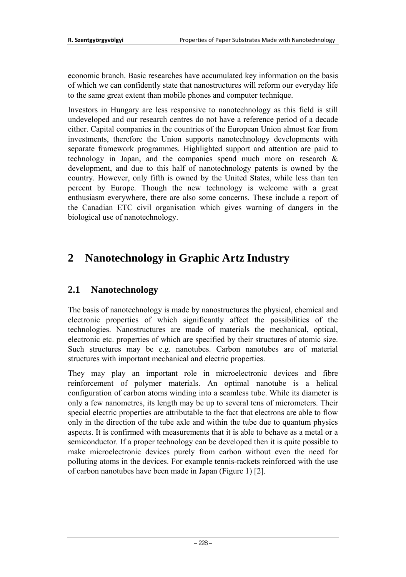economic branch. Basic researches have accumulated key information on the basis of which we can confidently state that nanostructures will reform our everyday life to the same great extent than mobile phones and computer technique.

Investors in Hungary are less responsive to nanotechnology as this field is still undeveloped and our research centres do not have a reference period of a decade either. Capital companies in the countries of the European Union almost fear from investments, therefore the Union supports nanotechnology developments with separate framework programmes. Highlighted support and attention are paid to technology in Japan, and the companies spend much more on research & development, and due to this half of nanotechnology patents is owned by the country. However, only fifth is owned by the United States, while less than ten percent by Europe. Though the new technology is welcome with a great enthusiasm everywhere, there are also some concerns. These include a report of the Canadian ETC civil organisation which gives warning of dangers in the biological use of nanotechnology.

## **2 Nanotechnology in Graphic Artz Industry**

## **2.1 Nanotechnology**

The basis of nanotechnology is made by nanostructures the physical, chemical and electronic properties of which significantly affect the possibilities of the technologies. Nanostructures are made of materials the mechanical, optical, electronic etc. properties of which are specified by their structures of atomic size. Such structures may be e.g. nanotubes. Carbon nanotubes are of material structures with important mechanical and electric properties.

They may play an important role in microelectronic devices and fibre reinforcement of polymer materials. An optimal nanotube is a helical configuration of carbon atoms winding into a seamless tube. While its diameter is only a few nanometres, its length may be up to several tens of micrometers. Their special electric properties are attributable to the fact that electrons are able to flow only in the direction of the tube axle and within the tube due to quantum physics aspects. It is confirmed with measurements that it is able to behave as a metal or a semiconductor. If a proper technology can be developed then it is quite possible to make microelectronic devices purely from carbon without even the need for polluting atoms in the devices. For example tennis-rackets reinforced with the use of carbon nanotubes have been made in Japan (Figure 1) [2].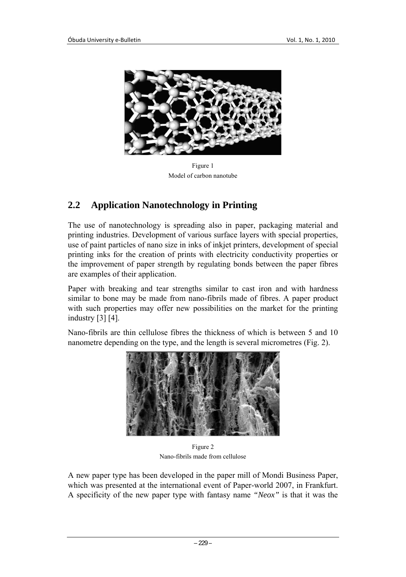

Figure 1 Model of carbon nanotube

### **2.2 Application Nanotechnology in Printing**

The use of nanotechnology is spreading also in paper, packaging material and printing industries. Development of various surface layers with special properties, use of paint particles of nano size in inks of inkjet printers, development of special printing inks for the creation of prints with electricity conductivity properties or the improvement of paper strength by regulating bonds between the paper fibres are examples of their application.

Paper with breaking and tear strengths similar to cast iron and with hardness similar to bone may be made from nano-fibrils made of fibres. A paper product with such properties may offer new possibilities on the market for the printing industry [3] [4].

Nano-fibrils are thin cellulose fibres the thickness of which is between 5 and 10 nanometre depending on the type, and the length is several micrometres (Fig. 2).



Figure 2 Nano-fibrils made from cellulose

A new paper type has been developed in the paper mill of Mondi Business Paper, which was presented at the international event of Paper-world 2007, in Frankfurt. A specificity of the new paper type with fantasy name *"Neox"* is that it was the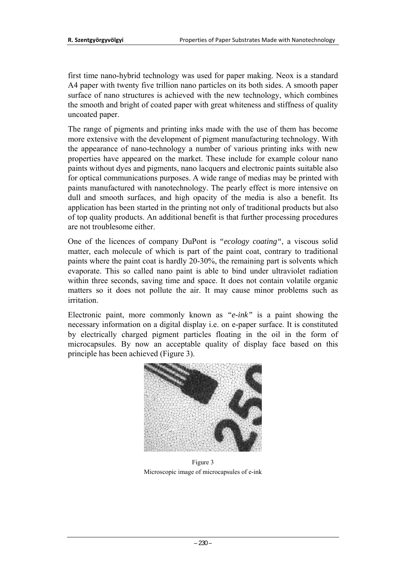first time nano-hybrid technology was used for paper making. Neox is a standard A4 paper with twenty five trillion nano particles on its both sides. A smooth paper surface of nano structures is achieved with the new technology, which combines the smooth and bright of coated paper with great whiteness and stiffness of quality uncoated paper.

The range of pigments and printing inks made with the use of them has become more extensive with the development of pigment manufacturing technology. With the appearance of nano-technology a number of various printing inks with new properties have appeared on the market. These include for example colour nano paints without dyes and pigments, nano lacquers and electronic paints suitable also for optical communications purposes. A wide range of medias may be printed with paints manufactured with nanotechnology. The pearly effect is more intensive on dull and smooth surfaces, and high opacity of the media is also a benefit. Its application has been started in the printing not only of traditional products but also of top quality products. An additional benefit is that further processing procedures are not troublesome either.

One of the licences of company DuPont is *"ecology coating"*, a viscous solid matter, each molecule of which is part of the paint coat, contrary to traditional paints where the paint coat is hardly 20-30%, the remaining part is solvents which evaporate. This so called nano paint is able to bind under ultraviolet radiation within three seconds, saving time and space. It does not contain volatile organic matters so it does not pollute the air. It may cause minor problems such as irritation.

Electronic paint, more commonly known as *"e-ink"* is a paint showing the necessary information on a digital display i.e. on e-paper surface. It is constituted by electrically charged pigment particles floating in the oil in the form of microcapsules. By now an acceptable quality of display face based on this principle has been achieved (Figure 3).



Figure 3 Microscopic image of microcapsules of e-ink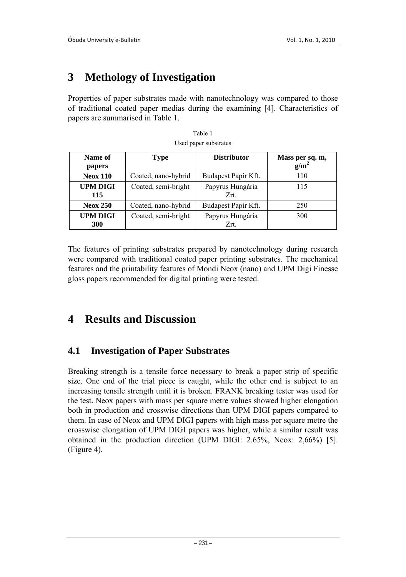## **3 Methology of Investigation**

Properties of paper substrates made with nanotechnology was compared to those of traditional coated paper medias during the examining [4]. Characteristics of papers are summarised in Table 1.

| Name of<br>papers             | <b>Type</b>         | <b>Distributor</b>       | Mass per sq. m,<br>g/m <sup>2</sup> |
|-------------------------------|---------------------|--------------------------|-------------------------------------|
| <b>Neox 110</b>               | Coated, nano-hybrid | Budapest Papír Kft.      | 110                                 |
| <b>UPM DIGI</b><br>115        | Coated, semi-bright | Papyrus Hungária<br>Zrt. | 115                                 |
| <b>Neox 250</b>               | Coated, nano-hybrid | Budapest Papír Kft.      | 250                                 |
| <b>UPM DIGI</b><br><b>300</b> | Coated, semi-bright | Papyrus Hungária<br>Zrt. | 300                                 |

| Table 1               |  |  |
|-----------------------|--|--|
| Used paper substrates |  |  |

The features of printing substrates prepared by nanotechnology during research were compared with traditional coated paper printing substrates. The mechanical features and the printability features of Mondi Neox (nano) and UPM Digi Finesse gloss papers recommended for digital printing were tested.

## **4 Results and Discussion**

### **4.1 Investigation of Paper Substrates**

Breaking strength is a tensile force necessary to break a paper strip of specific size. One end of the trial piece is caught, while the other end is subject to an increasing tensile strength until it is broken. FRANK breaking tester was used for the test. Neox papers with mass per square metre values showed higher elongation both in production and crosswise directions than UPM DIGI papers compared to them. In case of Neox and UPM DIGI papers with high mass per square metre the crosswise elongation of UPM DIGI papers was higher, while a similar result was obtained in the production direction (UPM DIGI: 2.65%, Neox: 2,66%) [5]. (Figure 4).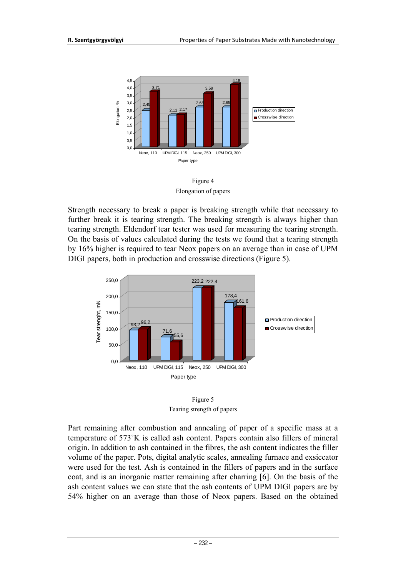

Elongation of papers

Strength necessary to break a paper is breaking strength while that necessary to further break it is tearing strength. The breaking strength is always higher than tearing strength. Eldendorf tear tester was used for measuring the tearing strength. On the basis of values calculated during the tests we found that a tearing strength by 16% higher is required to tear Neox papers on an average than in case of UPM DIGI papers, both in production and crosswise directions (Figure 5).





Part remaining after combustion and annealing of paper of a specific mass at a temperature of 573˚K is called ash content. Papers contain also fillers of mineral origin. In addition to ash contained in the fibres, the ash content indicates the filler volume of the paper. Pots, digital analytic scales, annealing furnace and exsiccator were used for the test. Ash is contained in the fillers of papers and in the surface coat, and is an inorganic matter remaining after charring [6]. On the basis of the ash content values we can state that the ash contents of UPM DIGI papers are by 54% higher on an average than those of Neox papers. Based on the obtained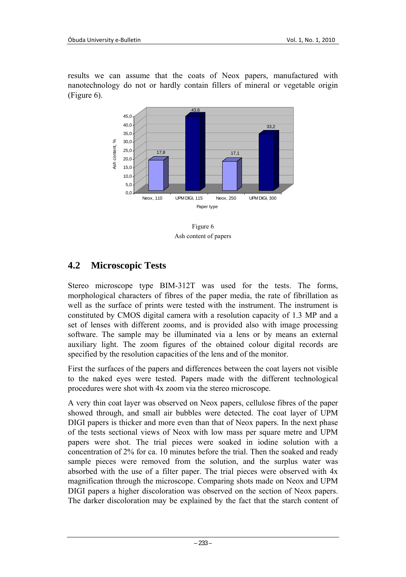results we can assume that the coats of Neox papers, manufactured with nanotechnology do not or hardly contain fillers of mineral or vegetable origin (Figure 6).



Figure 6 Ash content of papers

## **4.2 Microscopic Tests**

Stereo microscope type BIM-312T was used for the tests. The forms, morphological characters of fibres of the paper media, the rate of fibrillation as well as the surface of prints were tested with the instrument. The instrument is constituted by CMOS digital camera with a resolution capacity of 1.3 MP and a set of lenses with different zooms, and is provided also with image processing software. The sample may be illuminated via a lens or by means an external auxiliary light. The zoom figures of the obtained colour digital records are specified by the resolution capacities of the lens and of the monitor.

First the surfaces of the papers and differences between the coat layers not visible to the naked eyes were tested. Papers made with the different technological procedures were shot with 4x zoom via the stereo microscope.

A very thin coat layer was observed on Neox papers, cellulose fibres of the paper showed through, and small air bubbles were detected. The coat layer of UPM DIGI papers is thicker and more even than that of Neox papers. In the next phase of the tests sectional views of Neox with low mass per square metre and UPM papers were shot. The trial pieces were soaked in iodine solution with a concentration of 2% for ca. 10 minutes before the trial. Then the soaked and ready sample pieces were removed from the solution, and the surplus water was absorbed with the use of a filter paper. The trial pieces were observed with 4x magnification through the microscope. Comparing shots made on Neox and UPM DIGI papers a higher discoloration was observed on the section of Neox papers. The darker discoloration may be explained by the fact that the starch content of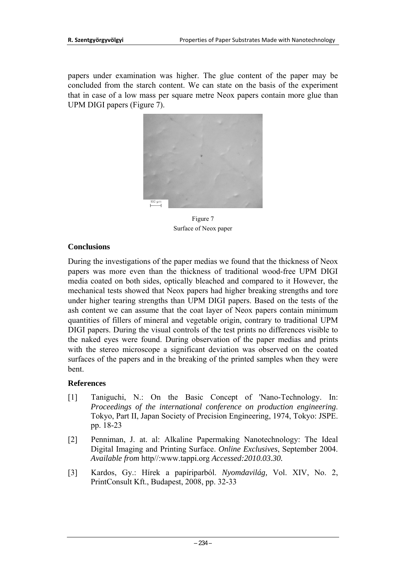papers under examination was higher. The glue content of the paper may be concluded from the starch content. We can state on the basis of the experiment that in case of a low mass per square metre Neox papers contain more glue than UPM DIGI papers (Figure 7).



Figure 7 Surface of Neox paper

#### **Conclusions**

During the investigations of the paper medias we found that the thickness of Neox papers was more even than the thickness of traditional wood-free UPM DIGI media coated on both sides, optically bleached and compared to it However, the mechanical tests showed that Neox papers had higher breaking strengths and tore under higher tearing strengths than UPM DIGI papers. Based on the tests of the ash content we can assume that the coat layer of Neox papers contain minimum quantities of fillers of mineral and vegetable origin, contrary to traditional UPM DIGI papers. During the visual controls of the test prints no differences visible to the naked eyes were found. During observation of the paper medias and prints with the stereo microscope a significant deviation was observed on the coated surfaces of the papers and in the breaking of the printed samples when they were bent.

#### **References**

- [1] Taniguchi, N.: On the Basic Concept of 'Nano-Technology. In: *Proceedings of the international conference on production engineering*. Tokyo, Part II, Japan Society of Precision Engineering, 1974, Tokyo: JSPE. pp. 18-23
- [2] Penniman, J. at. al: Alkaline Papermaking Nanotechnology: The Ideal Digital Imaging and Printing Surface. *Online Exclusives*, September 2004. *Available from* http//:www.tappi.org *Accessed:2010.03.30.*
- [3] Kardos, Gy.: Hírek a papíriparból. *Nyomdavilág,* Vol. XIV, No. 2, PrintConsult Kft., Budapest, 2008, pp. 32-33